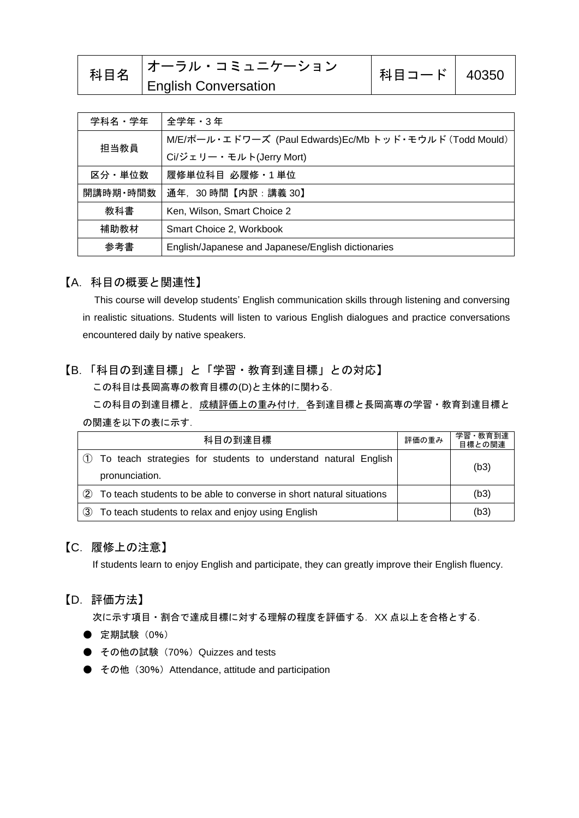| 科目名 | <b> オーラル・コミュニケーション</b>      | 科目コード   40350 |  |
|-----|-----------------------------|---------------|--|
|     | <b>English Conversation</b> |               |  |

| 学科名・学年   | 全学年・3 年                                                 |  |
|----------|---------------------------------------------------------|--|
|          | M/E/ポール・エドワーズ (Paul Edwards)Ec/Mb トッド・モウルド (Todd Mould) |  |
| 担当教員     | Ci/ジェリー・モルト(Jerry Mort)                                 |  |
| 区分・単位数   | 履修単位科目 必履修·1単位                                          |  |
| 開講時期・時間数 | 通年, 30時間【内訳:講義 30】                                      |  |
| 教科書      | Ken, Wilson, Smart Choice 2                             |  |
| 補助教材     | Smart Choice 2, Workbook                                |  |
| 参考書      | English/Japanese and Japanese/English dictionaries      |  |

#### 【A.科目の概要と関連性】

This course will develop students' English communication skills through listening and conversing in realistic situations. Students will listen to various English dialogues and practice conversations encountered daily by native speakers.

### 【B.「科目の到達目標」と「学習・教育到達目標」との対応】

この科目は長岡高専の教育目標の(D)と主体的に関わる.

この科目の到達目標と,成績評価上の重み付け,各到達目標と長岡高専の学習·教育到達目標と の関連を以下の表に示す.

| 科目の到達目標                                                                             |  | 学習·教育到達<br>目標との関連 |
|-------------------------------------------------------------------------------------|--|-------------------|
| 1) To teach strategies for students to understand natural English<br>pronunciation. |  | (b3)              |
| (2)<br>To teach students to be able to converse in short natural situations         |  | (b3)              |
| To teach students to relax and enjoy using English<br>3                             |  | (b3)              |

### 【C.履修上の注意】

If students learn to enjoy English and participate, they can greatly improve their English fluency.

#### 【D.評価方法】

次に示す項目·割合で達成目標に対する理解の程度を評価する. XX 点以上を合格とする.

- 定期試験 (0%)
- その他の試験 (70%) Quizzes and tests
- その他 (30%) Attendance, attitude and participation